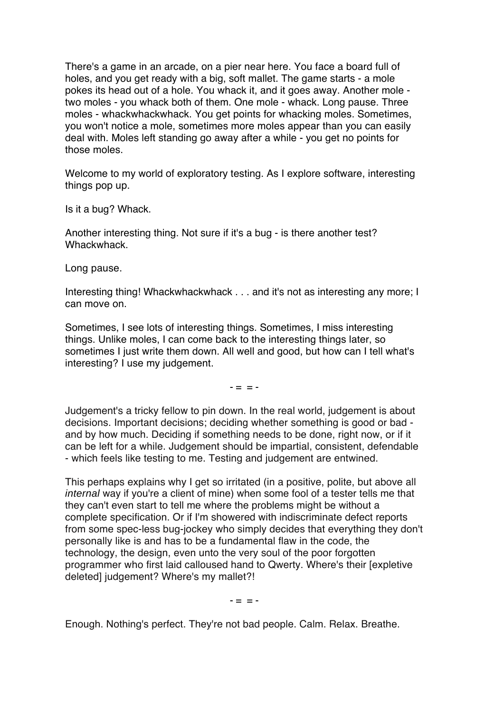There's a game in an arcade, on a pier near here. You face a board full of holes, and you get ready with a big, soft mallet. The game starts - a mole pokes its head out of a hole. You whack it, and it goes away. Another mole two moles - you whack both of them. One mole - whack. Long pause. Three moles - whackwhackwhack. You get points for whacking moles. Sometimes, you won't notice a mole, sometimes more moles appear than you can easily deal with. Moles left standing go away after a while - you get no points for those moles.

Welcome to my world of exploratory testing. As I explore software, interesting things pop up.

Is it a bug? Whack.

Another interesting thing. Not sure if it's a bug - is there another test? Whackwhack.

Long pause.

Interesting thing! Whackwhackwhack . . . and it's not as interesting any more; I can move on.

Sometimes, I see lots of interesting things. Sometimes, I miss interesting things. Unlike moles, I can come back to the interesting things later, so sometimes I just write them down. All well and good, but how can I tell what's interesting? I use my judgement.

 $- = = -$ 

Judgement's a tricky fellow to pin down. In the real world, judgement is about decisions. Important decisions; deciding whether something is good or bad and by how much. Deciding if something needs to be done, right now, or if it can be left for a while. Judgement should be impartial, consistent, defendable - which feels like testing to me. Testing and judgement are entwined.

This perhaps explains why I get so irritated (in a positive, polite, but above all internal way if you're a client of mine) when some fool of a tester tells me that they can't even start to tell me where the problems might be without a complete specification. Or if I'm showered with indiscriminate defect reports from some spec-less bug-jockey who simply decides that everything they don't personally like is and has to be a fundamental flaw in the code, the technology, the design, even unto the very soul of the poor forgotten programmer who first laid calloused hand to Qwerty. Where's their [expletive deleted] judgement? Where's my mallet?!

 $-$  =  $-$ 

Enough. Nothing's perfect. They're not bad people. Calm. Relax. Breathe.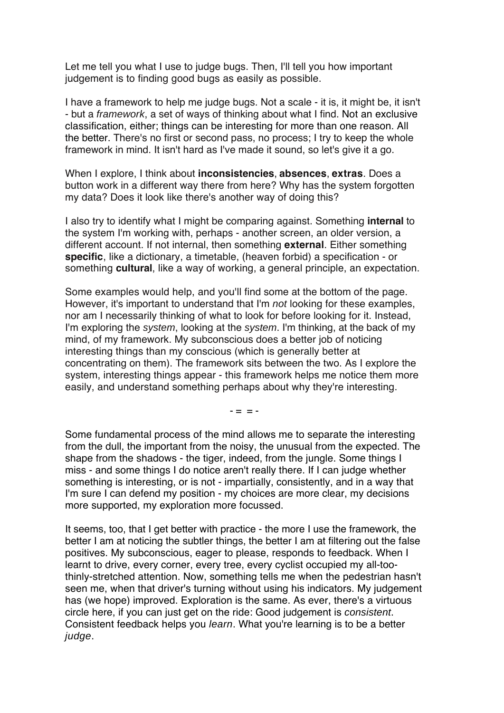Let me tell you what I use to judge bugs. Then, I'll tell you how important judgement is to finding good bugs as easily as possible.

I have a framework to help me judge bugs. Not a scale - it is, it might be, it isn't - but a framework, a set of ways of thinking about what I find. Not an exclusive classification, either; things can be interesting for more than one reason. All the better. There's no first or second pass, no process; I try to keep the whole framework in mind. It isn't hard as I've made it sound, so let's give it a go.

When I explore, I think about **inconsistencies**, **absences**, **extras**. Does a button work in a different way there from here? Why has the system forgotten my data? Does it look like there's another way of doing this?

I also try to identify what I might be comparing against. Something **internal** to the system I'm working with, perhaps - another screen, an older version, a different account. If not internal, then something **external**. Either something **specific**, like a dictionary, a timetable, (heaven forbid) a specification - or something **cultural**, like a way of working, a general principle, an expectation.

Some examples would help, and you'll find some at the bottom of the page. However, it's important to understand that I'm not looking for these examples, nor am I necessarily thinking of what to look for before looking for it. Instead, I'm exploring the system, looking at the system. I'm thinking, at the back of my mind, of my framework. My subconscious does a better job of noticing interesting things than my conscious (which is generally better at concentrating on them). The framework sits between the two. As I explore the system, interesting things appear - this framework helps me notice them more easily, and understand something perhaps about why they're interesting.

 $- - -$ 

Some fundamental process of the mind allows me to separate the interesting from the dull, the important from the noisy, the unusual from the expected. The shape from the shadows - the tiger, indeed, from the jungle. Some things I miss - and some things I do notice aren't really there. If I can judge whether something is interesting, or is not - impartially, consistently, and in a way that I'm sure I can defend my position - my choices are more clear, my decisions more supported, my exploration more focussed.

It seems, too, that I get better with practice - the more I use the framework, the better I am at noticing the subtler things, the better I am at filtering out the false positives. My subconscious, eager to please, responds to feedback. When I learnt to drive, every corner, every tree, every cyclist occupied my all-toothinly-stretched attention. Now, something tells me when the pedestrian hasn't seen me, when that driver's turning without using his indicators. My judgement has (we hope) improved. Exploration is the same. As ever, there's a virtuous circle here, if you can just get on the ride: Good judgement is consistent. Consistent feedback helps you learn. What you're learning is to be a better judge.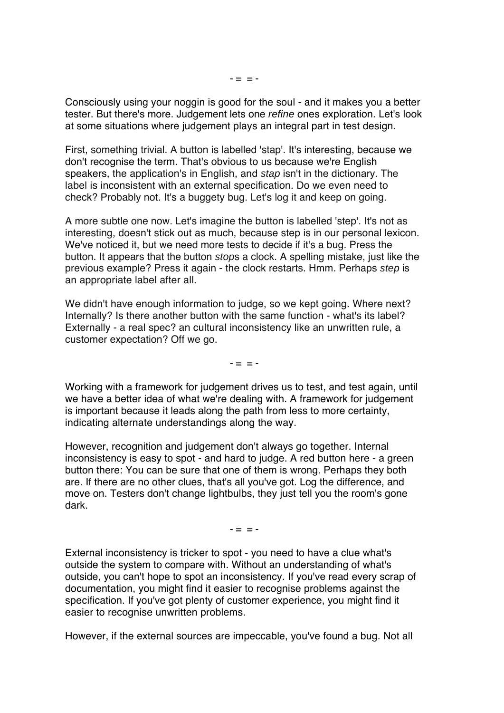Consciously using your noggin is good for the soul - and it makes you a better tester. But there's more. Judgement lets one refine ones exploration. Let's look at some situations where judgement plays an integral part in test design.

First, something trivial. A button is labelled 'stap'. It's interesting, because we don't recognise the term. That's obvious to us because we're English speakers, the application's in English, and stap isn't in the dictionary. The label is inconsistent with an external specification. Do we even need to check? Probably not. It's a buggety bug. Let's log it and keep on going.

A more subtle one now. Let's imagine the button is labelled 'step'. It's not as interesting, doesn't stick out as much, because step is in our personal lexicon. We've noticed it, but we need more tests to decide if it's a bug. Press the button. It appears that the button stops a clock. A spelling mistake, just like the previous example? Press it again - the clock restarts. Hmm. Perhaps step is an appropriate label after all.

We didn't have enough information to judge, so we kept going. Where next? Internally? Is there another button with the same function - what's its label? Externally - a real spec? an cultural inconsistency like an unwritten rule, a customer expectation? Off we go.

 $-$  =  $-$ 

Working with a framework for judgement drives us to test, and test again, until we have a better idea of what we're dealing with. A framework for judgement is important because it leads along the path from less to more certainty, indicating alternate understandings along the way.

However, recognition and judgement don't always go together. Internal inconsistency is easy to spot - and hard to judge. A red button here - a green button there: You can be sure that one of them is wrong. Perhaps they both are. If there are no other clues, that's all you've got. Log the difference, and move on. Testers don't change lightbulbs, they just tell you the room's gone dark.

 $- = -$ 

External inconsistency is tricker to spot - you need to have a clue what's outside the system to compare with. Without an understanding of what's outside, you can't hope to spot an inconsistency. If you've read every scrap of documentation, you might find it easier to recognise problems against the specification. If you've got plenty of customer experience, you might find it easier to recognise unwritten problems.

However, if the external sources are impeccable, you've found a bug. Not all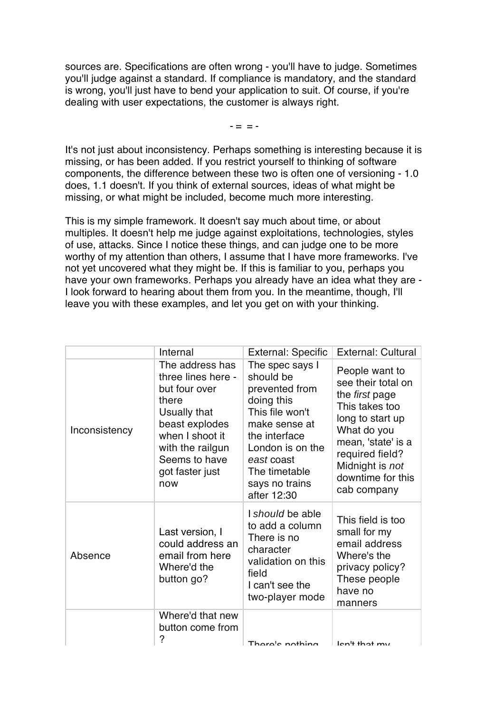sources are. Specifications are often wrong - you'll have to judge. Sometimes you'll judge against a standard. If compliance is mandatory, and the standard is wrong, you'll just have to bend your application to suit. Of course, if you're dealing with user expectations, the customer is always right.

 $- = = -$ 

It's not just about inconsistency. Perhaps something is interesting because it is missing, or has been added. If you restrict yourself to thinking of software components, the difference between these two is often one of versioning - 1.0 does, 1.1 doesn't. If you think of external sources, ideas of what might be missing, or what might be included, become much more interesting.

This is my simple framework. It doesn't say much about time, or about multiples. It doesn't help me judge against exploitations, technologies, styles of use, attacks. Since I notice these things, and can judge one to be more worthy of my attention than others, I assume that I have more frameworks. I've not yet uncovered what they might be. If this is familiar to you, perhaps you have your own frameworks. Perhaps you already have an idea what they are - I look forward to hearing about them from you. In the meantime, though, I'll leave you with these examples, and let you get on with your thinking.

|               | Internal                                                                                                                                                                            | <b>External: Specific</b>                                                                                                                                                                             | <b>External: Cultural</b>                                                                                                                                                                                   |
|---------------|-------------------------------------------------------------------------------------------------------------------------------------------------------------------------------------|-------------------------------------------------------------------------------------------------------------------------------------------------------------------------------------------------------|-------------------------------------------------------------------------------------------------------------------------------------------------------------------------------------------------------------|
| Inconsistency | The address has<br>three lines here -<br>but four over<br>there<br>Usually that<br>beast explodes<br>when I shoot it<br>with the railgun<br>Seems to have<br>got faster just<br>now | The spec says I<br>should be<br>prevented from<br>doing this<br>This file won't<br>make sense at<br>the interface<br>London is on the<br>east coast<br>The timetable<br>says no trains<br>after 12:30 | People want to<br>see their total on<br>the first page<br>This takes too<br>long to start up<br>What do you<br>mean, 'state' is a<br>required field?<br>Midnight is not<br>downtime for this<br>cab company |
| Absence       | Last version, I<br>could address an<br>email from here<br>Where'd the<br>button go?                                                                                                 | I should be able<br>to add a column<br>There is no<br>character<br>validation on this<br>field<br>I can't see the<br>two-player mode                                                                  | This field is too<br>small for my<br>email address<br>Where's the<br>privacy policy?<br>These people<br>have no<br>manners                                                                                  |
|               | Where'd that new<br>button come from<br>?                                                                                                                                           | Thoro's nothing                                                                                                                                                                                       | $lon'$ that $mu$                                                                                                                                                                                            |